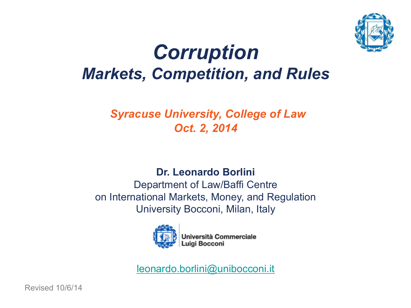

# *Corruption Markets, Competition, and Rules*

### *Syracuse University, College of Law Oct. 2, 2014*

### **Dr. Leonardo Borlini**

Department of Law/Baffi Centre on International Markets, Money, and Regulation University Bocconi, Milan, Italy



iversità Commerciale ıiai Bocconi

leonardo.borlini@unibocconi.it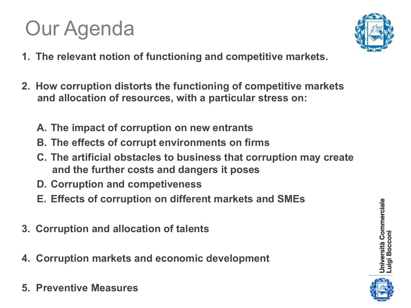# Our Agenda

- **1. The relevant notion of functioning and competitive markets.**
- **2. How corruption distorts the functioning of competitive markets and allocation of resources, with a particular stress on:** 
	- **A. The impact of corruption on new entrants**
	- **B. The effects of corrupt environments on firms**
	- **C. The artificial obstacles to business that corruption may create and the further costs and dangers it poses**
	- **D. Corruption and competiveness**
	- **E. Effects of corruption on different markets and SMEs**
- **3. Corruption and allocation of talents**
- **4. Corruption markets and economic development**
- **5. Preventive Measures**

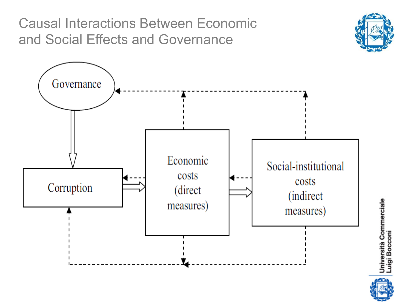Causal Interactions Between Economic and Social Effects and Governance





Iniversità Commerciale uigi Bocconi

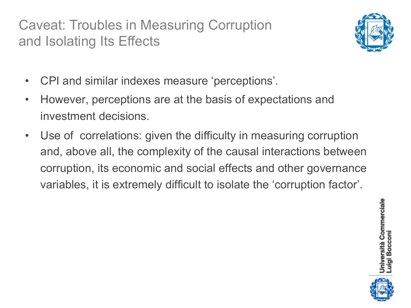Caveat: Troubles in Measuring Corruption and Isolating Its Effects



- CPI and similar indexes measure 'perceptions'.
- However, perceptions are at the basis of expectations and investment decisions.
- Use of correlations: given the difficulty in measuring corruption and, above all, the complexity of the causal interactions between corruption, its economic and social effects and other governance variables, it is extremely difficult to isolate the 'corruption factor'.

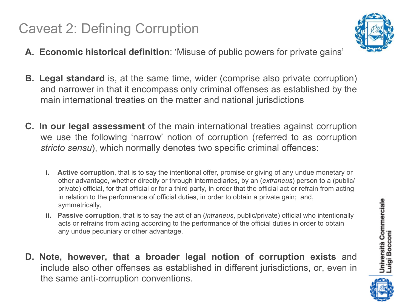### Caveat 2: Defining Corruption

- **A. Economic historical definition**: 'Misuse of public powers for private gains'
- **B. Legal standard** is, at the same time, wider (comprise also private corruption) and narrower in that it encompass only criminal offenses as established by the main international treaties on the matter and national jurisdictions
- **C. In our legal assessment** of the main international treaties against corruption we use the following 'narrow' notion of corruption (referred to as corruption *stricto sensu*), which normally denotes two specific criminal offences:
	- **i. Active corruption**, that is to say the intentional offer, promise or giving of any undue monetary or other advantage, whether directly or through intermediaries, by an (*extraneus*) person to a (public/ private) official, for that official or for a third party, in order that the official act or refrain from acting in relation to the performance of official duties, in order to obtain a private gain; and, symmetrically,
	- **ii. Passive corruption**, that is to say the act of an (*intraneus*, public/private) official who intentionally acts or refrains from acting according to the performance of the official duties in order to obtain any undue pecuniary or other advantage.
- **D. Note, however, that a broader legal notion of corruption exists** and include also other offenses as established in different jurisdictions, or, even in the same anti-corruption conventions.

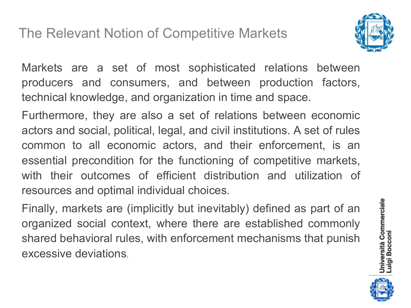

Markets are a set of most sophisticated relations between producers and consumers, and between production factors, technical knowledge, and organization in time and space.

Furthermore, they are also a set of relations between economic actors and social, political, legal, and civil institutions. A set of rules common to all economic actors, and their enforcement, is an essential precondition for the functioning of competitive markets, with their outcomes of efficient distribution and utilization of resources and optimal individual choices.

Finally, markets are (implicitly but inevitably) defined as part of an organized social context, where there are established commonly shared behavioral rules, with enforcement mechanisms that punish excessive deviations.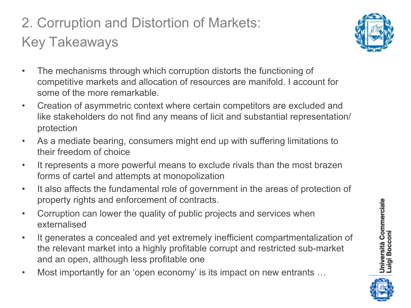# 2. Corruption and Distortion of Markets: Key Takeaways



- The mechanisms through which corruption distorts the functioning of competitive markets and allocation of resources are manifold. I account for some of the more remarkable.
- Creation of asymmetric context where certain competitors are excluded and like stakeholders do not find any means of licit and substantial representation/ protection
- As a mediate bearing, consumers might end up with suffering limitations to their freedom of choice
- It represents a more powerful means to exclude rivals than the most brazen forms of cartel and attempts at monopolization
- It also affects the fundamental role of government in the areas of protection of property rights and enforcement of contracts.
- Corruption can lower the quality of public projects and services when externalised
- It generates a concealed and yet extremely inefficient compartmentalization of the relevant market into a highly profitable corrupt and restricted sub-market and an open, although less profitable one
- Most importantly for an 'open economy' is its impact on new entrants ...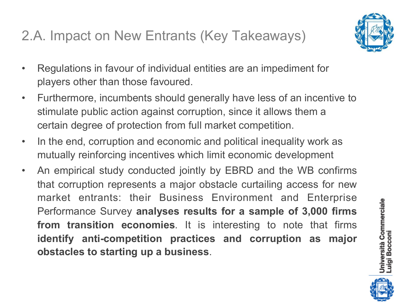### 2.A. Impact on New Entrants (Key Takeaways)

- Regulations in favour of individual entities are an impediment for players other than those favoured.
- Furthermore, incumbents should generally have less of an incentive to stimulate public action against corruption, since it allows them a certain degree of protection from full market competition.
- In the end, corruption and economic and political inequality work as mutually reinforcing incentives which limit economic development
- An empirical study conducted jointly by EBRD and the WB confirms that corruption represents a major obstacle curtailing access for new market entrants: their Business Environment and Enterprise Performance Survey **analyses results for a sample of 3,000 firms from transition economies**. It is interesting to note that firms **identify anti-competition practices and corruption as major obstacles to starting up a business**.



Università Commerciale<br>Luigi Bocconi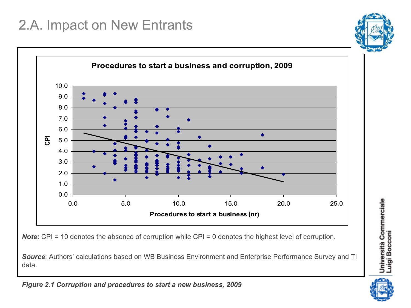

*Note*: CPI = 10 denotes the absence of corruption while CPI = 0 denotes the highest level of corruption.

*Source*: Authors' calculations based on WB Business Environment and Enterprise Performance Survey and TI data.

 $\overline{a}$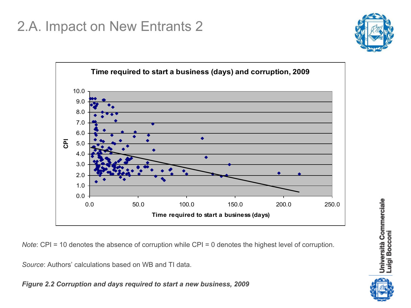



*Note*: CPI = 10 denotes the absence of corruption while CPI = 0 denotes the highest level of corruption.

*Source*: Authors' calculations based on WB and TI data.

*Figure 2.2 Corruption and days required to start a new business, 2009*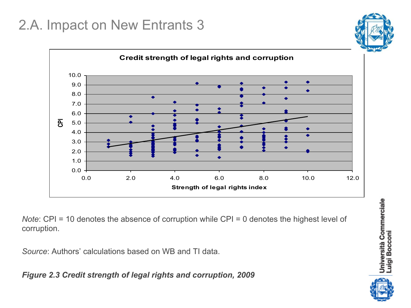### 2.A. Impact on New Entrants 3



*Note*: CPI = 10 denotes the absence of corruption while CPI = 0 denotes the highest level of corruption.

*Source*: Authors' calculations based on WB and TI data.

*Figure 2.3 Credit strength of legal rights and corruption, 2009*

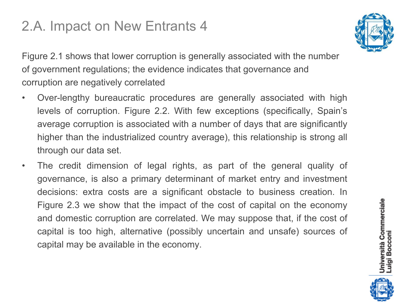### 2.A. Impact on New Entrants 4



Figure 2.1 shows that lower corruption is generally associated with the number of government regulations; the evidence indicates that governance and corruption are negatively correlated

- Over-lengthy bureaucratic procedures are generally associated with high levels of corruption. Figure 2.2. With few exceptions (specifically, Spain's average corruption is associated with a number of days that are significantly higher than the industrialized country average), this relationship is strong all through our data set.
- The credit dimension of legal rights, as part of the general quality of governance, is also a primary determinant of market entry and investment decisions: extra costs are a significant obstacle to business creation. In Figure 2.3 we show that the impact of the cost of capital on the economy and domestic corruption are correlated. We may suppose that, if the cost of capital is too high, alternative (possibly uncertain and unsafe) sources of capital may be available in the economy.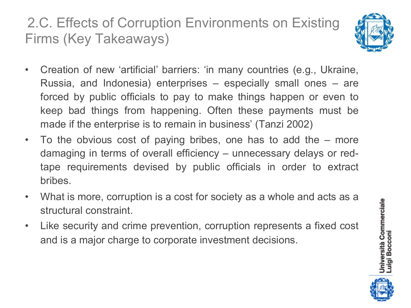### 2.C. Effects of Corruption Environments on Existing Firms (Key Takeaways)



- Creation of new 'artificial' barriers: 'in many countries (e.g., Ukraine, Russia, and Indonesia) enterprises – especially small ones – are forced by public officials to pay to make things happen or even to keep bad things from happening. Often these payments must be made if the enterprise is to remain in business' (Tanzi 2002)
- To the obvious cost of paying bribes, one has to add the more damaging in terms of overall efficiency – unnecessary delays or redtape requirements devised by public officials in order to extract bribes.
- What is more, corruption is a cost for society as a whole and acts as a structural constraint.
- Like security and crime prevention, corruption represents a fixed cost and is a major charge to corporate investment decisions.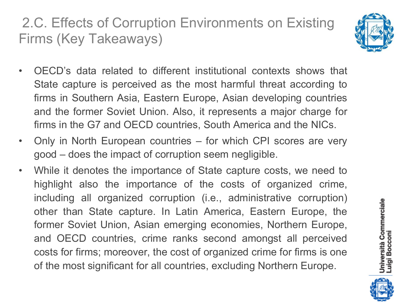### 2.C. Effects of Corruption Environments on Existing Firms (Key Takeaways)



- OECD's data related to different institutional contexts shows that State capture is perceived as the most harmful threat according to firms in Southern Asia, Eastern Europe, Asian developing countries and the former Soviet Union. Also, it represents a major charge for firms in the G7 and OECD countries, South America and the NICs.
- Only in North European countries for which CPI scores are very good – does the impact of corruption seem negligible.
- While it denotes the importance of State capture costs, we need to highlight also the importance of the costs of organized crime, including all organized corruption (i.e., administrative corruption) other than State capture. In Latin America, Eastern Europe, the former Soviet Union, Asian emerging economies, Northern Europe, and OECD countries, crime ranks second amongst all perceived costs for firms; moreover, the cost of organized crime for firms is one of the most significant for all countries, excluding Northern Europe.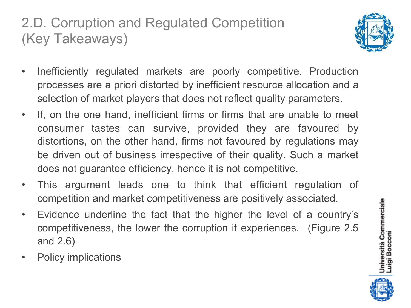### 2.D. Corruption and Regulated Competition (Key Takeaways)



- Inefficiently regulated markets are poorly competitive. Production processes are a priori distorted by inefficient resource allocation and a selection of market players that does not reflect quality parameters.
- If, on the one hand, inefficient firms or firms that are unable to meet consumer tastes can survive, provided they are favoured by distortions, on the other hand, firms not favoured by regulations may be driven out of business irrespective of their quality. Such a market does not guarantee efficiency, hence it is not competitive.
- This argument leads one to think that efficient regulation of competition and market competitiveness are positively associated.
- Evidence underline the fact that the higher the level of a country's competitiveness, the lower the corruption it experiences. (Figure 2.5 and 2.6)
- Policy implications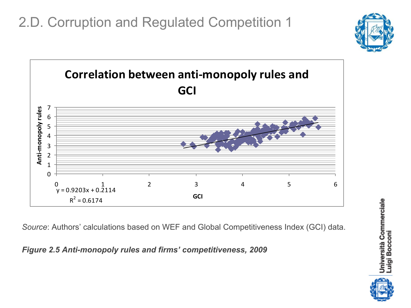

*Source*: Authors' calculations based on WEF and Global Competitiveness Index (GCI) data.

*Figure 2.5 Anti-monopoly rules and firms' competitiveness, 2009*



**Jniversità Commerciale** uigi Bocconi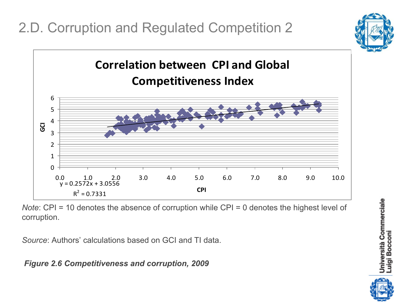



*Note*: CPI = 10 denotes the absence of corruption while CPI = 0 denotes the highest level of corruption.

*Source*: Authors' calculations based on GCI and TI data.

*Figure 2.6 Competitiveness and corruption, 2009*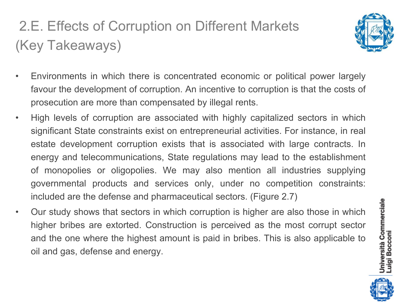# 2.E. Effects of Corruption on Different Markets (Key Takeaways)



- Environments in which there is concentrated economic or political power largely favour the development of corruption. An incentive to corruption is that the costs of prosecution are more than compensated by illegal rents.
- High levels of corruption are associated with highly capitalized sectors in which significant State constraints exist on entrepreneurial activities. For instance, in real estate development corruption exists that is associated with large contracts. In energy and telecommunications, State regulations may lead to the establishment of monopolies or oligopolies. We may also mention all industries supplying governmental products and services only, under no competition constraints: included are the defense and pharmaceutical sectors. (Figure 2.7)
- Our study shows that sectors in which corruption is higher are also those in which higher bribes are extorted. Construction is perceived as the most corrupt sector and the one where the highest amount is paid in bribes. This is also applicable to oil and gas, defense and energy.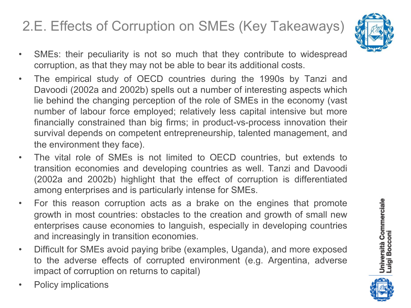### 2.E. Effects of Corruption on SMEs (Key Takeaways)

- SMEs: their peculiarity is not so much that they contribute to widespread corruption, as that they may not be able to bear its additional costs.
- The empirical study of OECD countries during the 1990s by Tanzi and Davoodi (2002a and 2002b) spells out a number of interesting aspects which lie behind the changing perception of the role of SMEs in the economy (vast number of labour force employed; relatively less capital intensive but more financially constrained than big firms; in product-vs-process innovation their survival depends on competent entrepreneurship, talented management, and the environment they face).
- The vital role of SMEs is not limited to OECD countries, but extends to transition economies and developing countries as well. Tanzi and Davoodi (2002a and 2002b) highlight that the effect of corruption is differentiated among enterprises and is particularly intense for SMEs.
- For this reason corruption acts as a brake on the engines that promote growth in most countries: obstacles to the creation and growth of small new enterprises cause economies to languish, especially in developing countries and increasingly in transition economies.
- Difficult for SMEs avoid paying bribe (examples, Uganda), and more exposed to the adverse effects of corrupted environment (e.g. Argentina, adverse impact of corruption on returns to capital)
- Policy implications

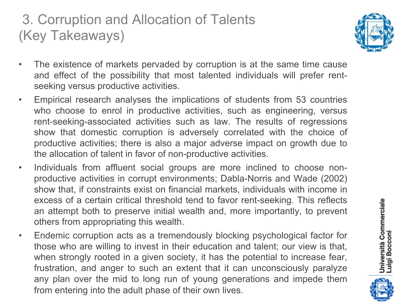### 3. Corruption and Allocation of Talents (Key Takeaways)



- The existence of markets pervaded by corruption is at the same time cause and effect of the possibility that most talented individuals will prefer rentseeking versus productive activities.
- Empirical research analyses the implications of students from 53 countries who choose to enrol in productive activities, such as engineering, versus rent-seeking-associated activities such as law. The results of regressions show that domestic corruption is adversely correlated with the choice of productive activities; there is also a major adverse impact on growth due to the allocation of talent in favor of non-productive activities.
- Individuals from affluent social groups are more inclined to choose nonproductive activities in corrupt environments; Dabla-Norris and Wade (2002) show that, if constraints exist on financial markets, individuals with income in excess of a certain critical threshold tend to favor rent-seeking. This reflects an attempt both to preserve initial wealth and, more importantly, to prevent others from appropriating this wealth.
- Endemic corruption acts as a tremendously blocking psychological factor for those who are willing to invest in their education and talent; our view is that, when strongly rooted in a given society, it has the potential to increase fear, frustration, and anger to such an extent that it can unconsciously paralyze any plan over the mid to long run of young generations and impede them from entering into the adult phase of their own lives.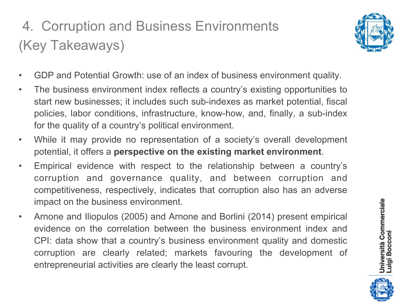## 4. Corruption and Business Environments (Key Takeaways)



- GDP and Potential Growth: use of an index of business environment quality.
- The business environment index reflects a country's existing opportunities to start new businesses; it includes such sub-indexes as market potential, fiscal policies, labor conditions, infrastructure, know-how, and, finally, a sub-index for the quality of a country's political environment.
- While it may provide no representation of a society's overall development potential, it offers a **perspective on the existing market environment**.
- Empirical evidence with respect to the relationship between a country's corruption and governance quality, and between corruption and competitiveness, respectively, indicates that corruption also has an adverse impact on the business environment.
- Arnone and Iliopulos (2005) and Arnone and Borlini (2014) present empirical evidence on the correlation between the business environment index and CPI: data show that a country's business environment quality and domestic corruption are clearly related; markets favouring the development of entrepreneurial activities are clearly the least corrupt.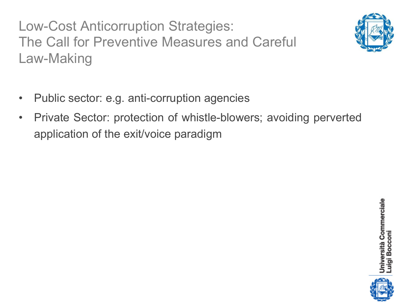Low-Cost Anticorruption Strategies: The Call for Preventive Measures and Careful Law-Making



- Public sector: e.g. anti-corruption agencies
- Private Sector: protection of whistle-blowers; avoiding perverted application of the exit/voice paradigm

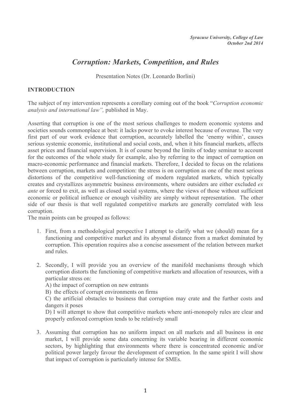### *Corruption: Markets, Competition, and Rules*

Presentation Notes (Dr. Leonardo Borlini)

#### **INTRODUCTION**

The subject of my intervention represents a corollary coming out of the book "*Corruption economic analysis and international law",* published in May.

Asserting that corruption is one of the most serious challenges to modern economic systems and societies sounds commonplace at best: it lacks power to evoke interest because of overuse. The very first part of our work evidence that corruption, accurately labelled the 'enemy within', causes serious systemic economic, institutional and social costs, and, when it hits financial markets, affects asset prices and financial supervision. It is of course beyond the limits of today seminar to account for the outcomes of the whole study for example, also by referring to the impact of corruption on macro-economic performance and financial markets. Therefore, I decided to focus on the relations between corruption, markets and competition: the stress is on corruption as one of the most serious distortions of the competitive well-functioning of modern regulated markets, which typically creates and crystallizes asymmetric business environments, where outsiders are either excluded *ex ante* or forced to exit, as well as closed social systems, where the views of those without sufficient economic or political influence or enough visibility are simply without representation. The other side of our thesis is that well regulated competitive markets are generally correlated with less corruption.

The main points can be grouped as follows:

- 1. First, from a methodological perspective I attempt to clarify what we (should) mean for a functioning and competitive market and its abysmal distance from a market dominated by corruption. This operation requires also a concise assessment of the relation between market and rules.
- 2. Secondly, I will provide you an overview of the manifold mechanisms through which corruption distorts the functioning of competitive markets and allocation of resources, with a particular stress on:
	- A) the impact of corruption on new entrants
	- B) the effects of corrupt environments on firms

C) the artificial obstacles to business that corruption may crate and the further costs and dangers it poses

D) I will attempt to show that competitive markets where anti-monopoly rules are clear and properly enforced corruption tends to be relatively small

3. Assuming that corruption has no uniform impact on all markets and all business in one market, I will provide some data concerning its variable bearing in different economic sectors, by highlighting that environments where there is concentrated economic and/or political power largely favour the development of corruption. In the same spirit I will show that impact of corruption is particularly intense for SMEs.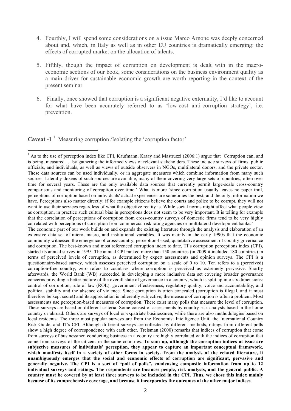- 4. Fourthly, I will spend some considerations on a issue Marco Arnone was deeply concerned about and, which, in Italy as well as in other EU countries is dramatically emerging: the effects of corrupted market on the allocation of talents.
- 5. Fifthly, though the impact of corruption on development is dealt with in the macroeconomic sections of our book, some considerations on the business environment quality as a main driver for sustainable economic growth are worth reporting in the context of the present seminar.
- 6. Finally, once showed that corruption is a significant negative externality, I'd like to account for what have been accurately referred to as 'low-cost anti-corruption strategy', i.e. prevention.

**Caveat**  $-1$  <sup>1</sup> Measuring corruption /Isolating the 'corruption factor'

<sup>&</sup>lt;sup>1</sup> As to the use of perception index like CPI, Kaufmann, Kraay and Mastruzzi (2006:1) argue that 'Corruption can, and is being, measured … by gathering the informed views of relevant stakeholders. These include surveys of firms, public officials, and individuals, as well as views of outside observers in NGOs, multilateral donors, and the private sector. These data sources can be used individually, or in aggregate measures which combine information from many such sources. Literally dozens of such sources are available, many of them covering very large sets of countries, often over time for several years. These are the only available data sources that currently permit large-scale cross-country comparisons and monitoring of corruption over time.' What is more 'since corruption usually leaves no paper trail, perceptions of corruption based on individuals' actual experiences are sometimes the best, and the only, information we have. Perceptions also matter directly: if for example citizens believe the courts and police to be corrupt, they will not want to use their services regardless of what the objective reality is. While social norms might affect what people view as corruption, in practice such cultural bias in perceptions does not seem to be very important. It is telling for example that the correlation of perceptions of corruption from cross-country surveys of domestic firms tend to be very highly correlated with perceptions of corruption from commercial risk rating agencies or multilateral development banks.' The economic part of our work builds on and expands the existing literature through the analysis and elaboration of an extensive data set of micro, macro, and institutional variables. It was mainly in the early 1990s that the economic community witnessed the emergence of cross-country, perception-based, quantitative assessment of country governance and corruption. The best-known and most referenced corruption index to date, TI's corruption perceptions index (CPI), started its annual survey in 1995. The annual CPI ranked more than 150 countries (in 2009 it included 180 countries) in terms of perceived levels of corruption, as determined by expert assessments and opinion surveys. The CPI is a questionnaire-based survey, which assesses perceived corruption on a scale of 0 to 10. Ten refers to a (perceived) corruption-free country; zero refers to countries where corruption is perceived as extremely pervasive. Shortly afterwards, the World Bank (WB) succeeded in developing a more inclusive data set covering broader governance concerns providing a better picture of the overall state of governance in a country, which is split up into six dimensions: control of corruption, rule of law (ROL), government effectiveness, regulatory quality, voice and accountability, and political stability and the absence of violence. Since corruption is often concealed (corruption is illegal, and it must therefore be kept secret) and its appreciation is inherently subjective, the measure of corruption is often a problem. Most assessments use perception-based measures of corruption. There exist many polls that measure the level of corruption. These surveys are based on different criteria. Some consist of assessments by country risk analysts based in the home country or abroad. Others are surveys of local or expatriate businessmen, while there are also methodologies based on local residents. The three most popular surveys are from the Economist Intelligence Unit, the International Country Risk Guide, and TI's CPI. Although different surveys are collected by different methods, ratings from different polls show a high degree of correspondence with each other. Treisman (2000) remarks that indices of corruption that come from surveys of businessmen conducting business in a country are highly correlated with the indices of corruption that come from surveys of the citizens in the same countries. **To sum up, although the corruption indices at issue are subjective measures of individuals' perception, they appear to capture an important conceptual framework, which manifests itself in a variety of other forms in society. From the analysis of the related literature, it unambiguously emerges that the social and economic effects of corruption are significant, pervasive and generally negative. The CPI is a sort of "poll of polls", condensing composite information from up to 12 individual surveys and ratings. The respondents are business people, risk analysts, and the general public. A country must be covered by at least three surveys to be included in the CPI. Thus, we chose this index mainly because of its comprehensive coverage, and because it incorporates the outcomes of the other major indices**.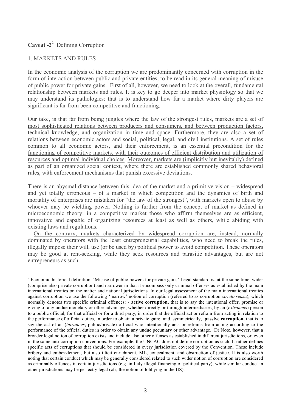#### **Caveat -22** Defining Corruption

#### 1. MARKETS AND RULES

In the economic analysis of the corruption we are predominantly concerned with corruption in the form of interaction between public and private entities, to be read in its general meaning of misuse of public power for private gains. First of all, however, we need to look at the overall, fundamental relationship between markets and rules. It is key to go deeper into market physiology so that we may understand its pathologies: that is to understand how far a market where dirty players are significant is far from been competitive and functioning.

Our take, is that far from being jungles where the law of the strongest rules, markets are a set of most sophisticated relations between producers and consumers, and between production factors, technical knowledge, and organization in time and space. Furthermore, they are also a set of relations between economic actors and social, political, legal, and civil institutions. A set of rules common to all economic actors, and their enforcement, is an essential precondition for the functioning of competitive markets, with their outcomes of efficient distribution and utilization of resources and optimal individual choices. Moreover, markets are (implicitly but inevitably) defined as part of an organized social context, where there are established commonly shared behavioral rules, with enforcement mechanisms that punish excessive deviations.

There is an abysmal distance between this idea of the market and a primitive vision – widespread and yet totally erroneous – of a market in which competition and the dynamics of birth and mortality of enterprises are mistaken for "the law of the strongest", with markets open to abuse by whoever may be wielding power. Nothing is further from the concept of market as defined in microeconomic theory: in a competitive market those who affirm themselves are as efficient, innovative and capable of organizing resources at least as well as others, while abiding with existing laws and regulations.

On the contrary, markets characterized by widespread corruption are, instead, normally dominated by operators with the least entrepreneurial capabilities, who need to break the rules, illegally impose their will, use (or be used by) political power to avoid competition. These operators may be good at rent-seeking, while they seek resources and parasitic advantages, but are not entrepreneurs as such.

<sup>&</sup>lt;sup>2</sup> Economic historical definition: 'Misuse of public powers for private gains' Legal standard is, at the same time, wider (comprise also private corruption) and narrower in that it encompass only criminal offenses as established by the main international treaties on the matter and national jurisdictions. In our legal assessment of the main international treaties against corruption we use the following ' narrow' notion of corruption (referred to as corruption *stricto sensu*), which normally denotes two specific criminal offences: - **active corruption,** that is to say the intentional offer, promise or giving of any undue monetary or other advantage, whether directly or through intermediaries, by an (*extraneus*) person to a public official, for that official or for a third party, in order that the official act or refrain from acting in relation to the performance of official duties, in order to obtain a private gain; and, symmetrically, **passive corruption,** that is to say the act of an (*intraneus*, public/private) official who intentionally acts or refrains from acting according to the performance of the official duties in order to obtain any undue pecuniary or other advantage. D) Note, however, that a broader legal notion of corruption exists and include also other offenses as established in different jurisdictions, or, even in the same anti-corruption conventions. For example, the UNCAC does not define corruption as such. It rather defines specific acts of corruptions that should be considered in every jurisdiction covered by the Convention. These include bribery and embezzlement, but also illicit enrichment, ML, concealment, and obstruction of justice. It is also worth noting that certain conduct which may be generally considered related to such wider notion of corruption are considered as criminally offences in certain jurisdictions (e.g. in Italy illegal financing of political party), while similar conduct in other jurisdictions may be perfectly legal (cfr, the notion of lobbying in the US).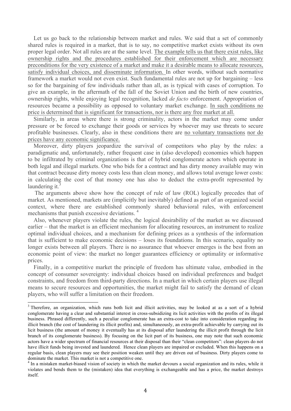Let us go back to the relationship between market and rules. We said that a set of commonly shared rules is required in a market, that is to say, no competitive market exists without its own proper legal order. Not all rules are at the same level. The example tells us that there exist rules, like ownership rights and the procedures established for their enforcement which are necessary preconditions for the very existence of a market and make it a desirable means to allocate resources, satisfy individual choices, and disseminate information. In other words, without such normative framework a market would not even exist. Such fundamental rules are not up for bargaining – less so for the bargaining of few individuals rather than all, as is typical with cases of corruption. To give an example, in the aftermath of the fall of the Soviet Union and the birth of new countries, ownership rights, while enjoying legal recognition, lacked *de facto* enforcement. Appropriation of resources became a possibility as opposed to voluntary market exchange. In such conditions no price is determined that is significant for transactions, nor is there any free market at all.

Similarly, in areas where there is strong criminality, actors in the market may come under pressure or be forced to exchange their goods or services by whoever may use threats to secure profitable businesses. Clearly, also in these conditions there are no voluntary transactions nor do prices have any economic significance.

Moreover, dirty players jeopardize the survival of competitors who play by the rules: a paradigmatic and, unfortunately, rather frequent case in (also developed) economies which happen to be infiltrated by criminal organizations is that of hybrid conglomerate actors which operate in both legal and illegal markets. One who bids for a contract and has dirty money available may win that contract because dirty money costs less than clean money, and allows total average lower costs: in calculating the cost of that money one has also to deduct the extra-profit represented by laundering it. $\frac{3}{2}$ 

The arguments above show how the concept of rule of law (ROL) logically precedes that of market. As mentioned, markets are (implicitly but inevitably) defined as part of an organized social context, where there are established commonly shared behavioral rules, with enforcement mechanisms that punish excessive deviations. <sup>4</sup>

Also, whenever players violate the rules, the logical desirability of the market as we discussed earlier – that the market is an efficient mechanism for allocating resources, an instrument to realize optimal individual choices, and a mechanism for defining prices as a synthesis of the information that is sufficient to make economic decisions – loses its foundations. In this scenario, equality no longer exists between all players. There is no assurance that whoever emerges is the best from an economic point of view: the market no longer guarantees efficiency or optimality or informative prices.

Finally, in a competitive market the principle of freedom has ultimate value, embodied in the concept of consumer sovereignty: individual choices based on individual preferences and budget constraints, and freedom from third-party directions. In a market in which certain players use illegal means to secure resources and opportunities, the market might fail to satisfy the demand of clean players, who will suffer a limitation on their freedom.

<sup>&</sup>lt;sup>3</sup> Therefore, an organization, which runs both licit and illicit activities, may be looked at as a sort of a hybrid conglomerate having a clear and substantial interest in cross-subsidizing its licit activities with the profits of its illegal business. Phrased differently, such a peculiar conglomerate has an extra-cost to take into consideration regarding its illicit branch (the cost of laundering its illicit profits) and, simultaneously, an extra-profit achievable by carrying out its licit business (the amount of money it eventually has at its disposal after laundering the illicit profit through the licit branch of its conglomerate business). By focusing on the licit part of its business, one may note that such economic actors have a wider spectrum of financial resources at their disposal than their "clean competitors": clean players do not have illicit funds being invested and laundered. Hence clean players are impaired or excluded. When this happens on a regular basis, clean players may see their position weaken until they are driven out of business. Dirty players come to dominate the market. This market is not a competitive one.

<sup>&</sup>lt;sup>4</sup> In a mistaken market-biased vision of society in which the market devours a social organization and its rules, while it violates and bends them to the (mistaken) idea that everything is exchangeable and has a price, the market destroys itself.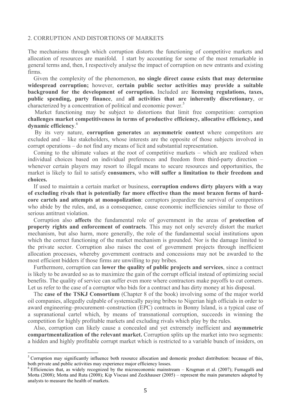#### 2. CORRUPTION AND DISTORTIONS OF MARKETS

The mechanisms through which corruption distorts the functioning of competitive markets and allocation of resources are manifold. I start by accounting for some of the most remarkable in general terms and, then, I respectively analyse the impact of corruption on new entrants and existing firms.

Given the complexity of the phenomenon, **no single direct cause exists that may determine widespread corruption;** however, **certain public sector activities may provide a suitable background for the development of corruption.** Included are **licensing regulations, taxes, public spending, party finance**, and **all activities that are inherently discretionary**, or characterized by a concentration of political and economic power.<sup>5</sup>

Market functioning may be subject to distortions that limit free competition: corruption **challenges market competitiveness in terms of productive efficiency, allocative efficiency, and dynamic efficiency**. 6

By its very nature, **corruption generates** an **asymmetric context** where competitors are excluded and – like stakeholders, whose interests are the opposite of those subjects involved in corrupt operations – do not find any means of licit and substantial representation.

Coming to the ultimate values at the root of competitive markets – which are realized when individual choices based on individual preferences and freedom from third-party direction – whenever certain players may resort to illegal means to secure resources and opportunities, the market is likely to fail to satisfy **consumers**, who **will suffer a limitation to their freedom and choices.**

If used to maintain a certain market or business, **corruption endows dirty players with a way of excluding rivals that is potentially far more effective than the most brazen forms of hardcore cartels and attempts at monopolization**: corruptors jeopardize the survival of competitors who abide by the rules, and, as a consequence, cause economic inefficiencies similar to those of serious antitrust violation.

Corruption also **affects** the fundamental role of government in the areas of **protection of property rights and enforcement of contracts**. This may not only severely distort the market mechanism, but also harm, more generally, the role of the fundamental social institutions upon which the correct functioning of the market mechanism is grounded. Nor is the damage limited to the private sector. Corruption also raises the cost of government projects through inefficient allocation processes, whereby government contracts and concessions may not be awarded to the most efficient bidders if those firms are unwilling to pay bribes.

Furthermore, corruption can **lower the quality of public projects and services**, since a contract is likely to be awarded so as to maximize the gain of the corrupt official instead of optimizing social benefits. The quality of service can suffer even more where contractors make payoffs to cut corners. Let us refer to the case of a corruptor who bids for a contract and has dirty money at his disposal.

The **case of the TSKJ Consortium** (Chapter 8 of the book) involving some of the major world oil companies, allegedly culpable of systemically paying bribes to Nigerian high officials in order to award engineering–procurement–construction (EPC) contracts in Bonny Island, is a typical case of a supranational cartel which, by means of transnational corruption, succeeds in winning the competition for highly profitable markets and excluding rivals which play by the rules.

Also, corruption can likely cause a concealed and yet extremely inefficient and **asymmetric compartmentalization of the relevant market.** Corruption splits up the market into two segments: a hidden and highly profitable corrupt market which is restricted to a variable bunch of insiders, on

<sup>&</sup>lt;sup>5</sup> Corruption may significantly influence both resource allocation and domestic product distribution: because of this, both private and public activities may experience major efficiency losses.<br><sup>6</sup> Efficiencies that, as widely recognized by the microeconomic mainstream – Krugman et al. (2007); Fumagalli and

Motta (2008); Motta and Ruta (2008); Kip Viscusi and Zeckhauser (2005) – represent the main parameters adopted by analysts to measure the health of markets.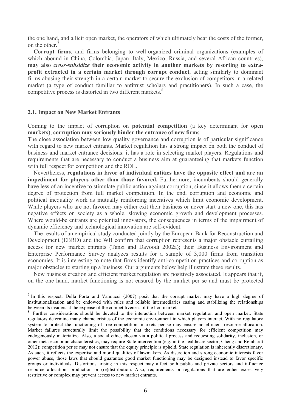the one hand, and a licit open market, the operators of which ultimately bear the costs of the former, on the other.<sup>7</sup>

**Corrupt firms**, and firms belonging to well-organized criminal organizations (examples of which abound in China, Colombia, Japan, Italy, Mexico, Russia, and several African countries), **may also** *cross-subsidize* **their economic activity in another markets by resorting to extraprofit extracted in a certain market through corrupt conduct**, acting similarly to dominant firms abusing their strength in a certain market to secure the exclusion of competitors in a related market (a type of conduct familiar to antitrust scholars and practitioners). In such a case, the competitive process is distorted in two different markets.<sup>8</sup>

#### **2.1. Impact on New Market Entrants**

Coming to the impact of corruption on **potential competition** (a key determinant for **open markets**), **corruption may seriously hinder the entrance of new firm**s.

The close association between low quality governance and corruption is of particular significance with regard to new market entrants. Market regulation has a strong impact on both the conduct of business and market entrance decisions: it has a role in selecting market players. Regulations and requirements that are necessary to conduct a business aim at guaranteeing that markets function with full respect for competition and the ROL**.**

Nevertheless, **regulations in favor of individual entities have the opposite effect and are an impediment for players other than those favored.** Furthermore, incumbents should generally have less of an incentive to stimulate public action against corruption, since it allows them a certain degree of protection from full market competition. In the end, corruption and economic and political inequality work as mutually reinforcing incentives which limit economic development. While players who are not favored may either exit their business or never start a new one, this has negative effects on society as a whole, slowing economic growth and development processes. Where would-be entrants are potential innovators, the consequences in terms of the impairment of dynamic efficiency and technological innovation are self-evident.

The results of an empirical study conducted jointly by the European Bank for Reconstruction and Development (EBRD) and the WB confirm that corruption represents a major obstacle curtailing access for new market entrants (Tanzi and Davoodi 2002a); their Business Environment and Enterprise Performance Survey analyzes results for a sample of 3,000 firms from transition economies. It is interesting to note that firms identify anti-competition practices and corruption as major obstacles to starting up a business. Our arguments below help illustrate these results.

New business creation and efficient market regulation are positively associated. It appears that if, on the one hand, market functioning is not ensured by the market per se and must be protected

<sup>&</sup>lt;sup>7</sup> In this respect, Della Porta and Vannucci (2007) posit that the corrupt market may have a high degree of institutionalization and be endowed with rules and reliable intermediaries easing and stabilizing the relationships between its insiders at the expense of the competitiveness of the licit market.

<sup>&</sup>lt;sup>8</sup> Further considerations should be devoted to the interaction between market regulation and open market. State regulators determine many characteristics of the economic environment in which players interact. With no regulatory system to protect the functioning of free competition, markets per se may ensure no efficient resource allocation. Market failures structurally limit the possibility that the conditions necessary for efficient competition may endogenously materialize. Also, a social ethic, chosen via a political process and requesting solidarity, inclusion, or other meta-economic characteristics, may require State intervention (e.g. in the healthcare sector; Cheng and Reinhardt 2012): competition per se may not ensure that the equity principle is upheld. State regulation is inherently discretionary. As such, it reflects the expertise and moral qualities of lawmakers. As discretion and strong economic interests favor power abuse, those laws that should guarantee good market functioning may be designed instead to favor specific groups or individuals. Distortions arising in this respect may affect both public and private sectors and influence resource allocation, production or (re)distribution. Also, requirements or regulations that are either excessively restrictive or complex may prevent access to new market entrants.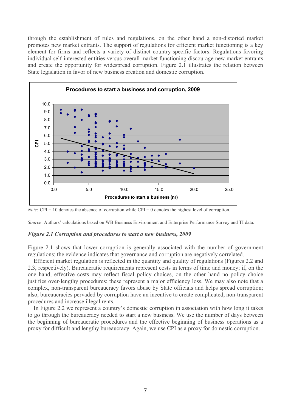through the establishment of rules and regulations, on the other hand a non-distorted market promotes new market entrants. The support of regulations for efficient market functioning is a key element for firms and reflects a variety of distinct country-specific factors. Regulations favoring individual self-interested entities versus overall market functioning discourage new market entrants and create the opportunity for widespread corruption. Figure 2.1 illustrates the relation between State legislation in favor of new business creation and domestic corruption.



*Note*: CPI = 10 denotes the absence of corruption while CPI = 0 denotes the highest level of corruption.

*Source*: Authors' calculations based on WB Business Environment and Enterprise Performance Survey and TI data.

#### *Figure 2.1 Corruption and procedures to start a new business, 2009*

Figure 2.1 shows that lower corruption is generally associated with the number of government regulations; the evidence indicates that governance and corruption are negatively correlated.

Efficient market regulation is reflected in the quantity and quality of regulations (Figures 2.2 and 2.3, respectively). Bureaucratic requirements represent costs in terms of time and money; if, on the one hand, effective costs may reflect fiscal policy choices, on the other hand no policy choice justifies over-lengthy procedures: these represent a major efficiency loss. We may also note that a complex, non-transparent bureaucracy favors abuse by State officials and helps spread corruption; also, bureaucracies pervaded by corruption have an incentive to create complicated, non-transparent procedures and increase illegal rents.

In Figure 2.2 we represent a country's domestic corruption in association with how long it takes to go through the bureaucracy needed to start a new business. We use the number of days between the beginning of bureaucratic procedures and the effective beginning of business operations as a proxy for difficult and lengthy bureaucracy. Again, we use CPI as a proxy for domestic corruption.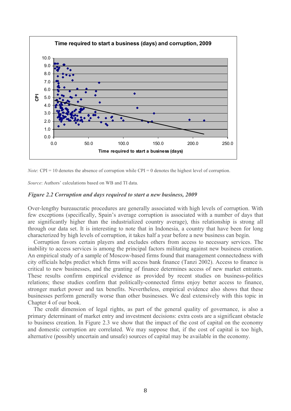

*Note*: CPI = 10 denotes the absence of corruption while CPI = 0 denotes the highest level of corruption.

*Source*: Authors' calculations based on WB and TI data.

#### *Figure 2.2 Corruption and days required to start a new business, 2009*

Over-lengthy bureaucratic procedures are generally associated with high levels of corruption. With few exceptions (specifically, Spain's average corruption is associated with a number of days that are significantly higher than the industrialized country average), this relationship is strong all through our data set. It is interesting to note that in Indonesia, a country that have been for long characterized by high levels of corruption, it takes half a year before a new business can begin.

Corruption favors certain players and excludes others from access to necessary services. The inability to access services is among the principal factors militating against new business creation. An empirical study of a sample of Moscow-based firms found that management connectedness with city officials helps predict which firms will access bank finance (Tanzi 2002). Access to finance is critical to new businesses, and the granting of finance determines access of new market entrants. These results confirm empirical evidence as provided by recent studies on business-politics relations; these studies confirm that politically-connected firms enjoy better access to finance, stronger market power and tax benefits. Nevertheless, empirical evidence also shows that these businesses perform generally worse than other businesses. We deal extensively with this topic in Chapter 4 of our book.

The credit dimension of legal rights, as part of the general quality of governance, is also a primary determinant of market entry and investment decisions: extra costs are a significant obstacle to business creation. In Figure 2.3 we show that the impact of the cost of capital on the economy and domestic corruption are correlated. We may suppose that, if the cost of capital is too high, alternative (possibly uncertain and unsafe) sources of capital may be available in the economy.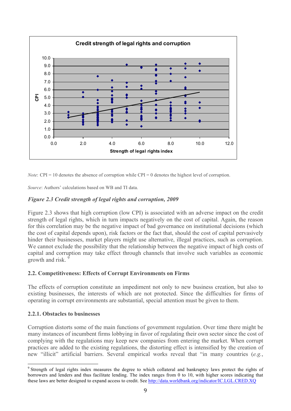

*Note*: CPI = 10 denotes the absence of corruption while CPI = 0 denotes the highest level of corruption.

*Source*: Authors' calculations based on WB and TI data.

#### *Figure 2.3 Credit strength of legal rights and corruption, 2009*

Figure 2.3 shows that high corruption (low CPI) is associated with an adverse impact on the credit strength of legal rights, which in turn impacts negatively on the cost of capital. Again, the reason for this correlation may be the negative impact of bad governance on institutional decisions (which the cost of capital depends upon), risk factors or the fact that, should the cost of capital pervasively hinder their businesses, market players might use alternative, illegal practices, such as corruption. We cannot exclude the possibility that the relationship between the negative impact of high costs of capital and corruption may take effect through channels that involve such variables as economic growth and risk. <sup>9</sup>

#### **2.2. Competitiveness: Effects of Corrupt Environments on Firms**

The effects of corruption constitute an impediment not only to new business creation, but also to existing businesses, the interests of which are not protected. Since the difficulties for firms of operating in corrupt environments are substantial, special attention must be given to them.

#### **2.2.1. Obstacles to businesses**

Corruption distorts some of the main functions of government regulation. Over time there might be many instances of incumbent firms lobbying in favor of regulating their own sector since the cost of complying with the regulations may keep new companies from entering the market. When corrupt practices are added to the existing regulations, the distorting effect is intensified by the creation of new "illicit" artificial barriers. Several empirical works reveal that "in many countries (*e.g.*,

<sup>&</sup>lt;sup>9</sup> Strength of legal rights index measures the degree to which collateral and bankruptcy laws protect the rights of borrowers and lenders and thus facilitate lending. The index ranges from 0 to 10, with higher scores indicating that these laws are better designed to expand access to credit. See http://data.worldbank.org/indicator/IC.LGL.CRED.XQ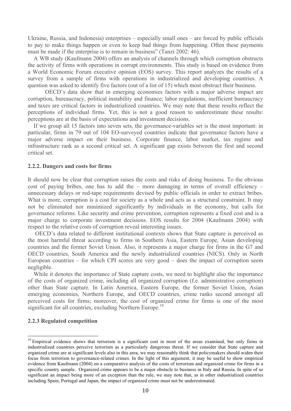Ukraine, Russia, and Indonesia) enterprises – especially small ones – are forced by public officials to pay to make things happen or even to keep bad things from happening. Often these payments must be made if the enterprise is to remain in business" (Tanzi 2002: 46).

A WB study (Kaufmann 2004) offers an analysis of channels through which corruption obstructs the activity of firms with operations in corrupt environments. This study is based on evidence from a World Economic Forum executive opinion (EOS) survey. This report analyzes the results of a survey from a sample of firms with operations in industrialized and developing countries. A question was asked to identify five factors (out of a list of 15) which most obstruct their business.

OECD's data show that in emerging economies factors with a major adverse impact are corruption, bureaucracy, political instability and finance; labor regulations, inefficient bureaucracy and taxes are critical factors in industrialized countries. We may note that these results reflect the perceptions of individual firms. Yet, this is not a good reason to underestimate these results: perceptions are at the basis of expectations and investment decisions.

If we group all 15 factors into seven sets, the governance-variables set is the most important: in particular, firms in 79 out of 104 EO-surveyed countries indicate that governance factors have a major adverse impact on their business. Corporate finance, labor market, tax regime and infrastructure rank as a second critical set. A significant gap exists between the first and second critical set.

#### **2.2.2. Dangers and costs for firms**

It should now be clear that corruption raises the costs and risks of doing business. To the obvious cost of paying bribes, one has to add the – more damaging in terms of overall efficiency – unnecessary delays or red-tape requirements devised by public officials in order to extract bribes. What is more, corruption is a cost for society as a whole and acts as a structural constraint. It may not be eliminated nor minimized significantly by individuals in the economy, but calls for governance reforms. Like security and crime prevention, corruption represents a fixed cost and is a major charge to corporate investment decisions. EOS results for 2004 (Kaufmann 2004) with respect to the relative costs of corruption reveal interesting issues.

OECD's data related to different institutional contexts shows that State capture is perceived as the most harmful threat according to firms in Southern Asia, Eastern Europe, Asian developing countries and the former Soviet Union. Also, it represents a major charge for firms in the G7 and OECD countries, South America and the newly industrialized countries (NICS). Only in North European countries – for which CPI scores are very good – does the impact of corruption seem negligible.

While it denotes the importance of State capture costs, we need to highlight also the importance of the costs of organized crime, including all organized corruption (f.e. administrative corruption) other than State capture. In Latin America, Eastern Europe, the former Soviet Union, Asian emerging economies, Northern Europe, and OECD countries, crime ranks second amongst all perceived costs for firms; moreover, the cost of organized crime for firms is one of the most significant for all countries, excluding Northern Europe.<sup>10</sup>

#### **2.2.3 Regulated competition**

 $10$  Empirical evidence shows that terrorism is a significant cost in most of the areas examined, but only firms in industrialized countries perceive terrorism as a particularly dangerous threat. If we consider that State capture and organized crime are at significant levels also in this area, we may reasonably think that policymakers should widen their focus from terrorism to governance-related crimes. In the light of this argument, it may be useful to show empirical evidence from Kaufmann (2004) on a comparative analysis of the costs of terrorism and organized crime for firms in a specific country sample. Organized crime appears to be a major obstacle to business in Italy and Russia. In spite of so significant an impact being more of an exception than the rule, we may note that, as in other industrialized countries including Spain, Portugal and Japan, the impact of organized crime must not be underestimated.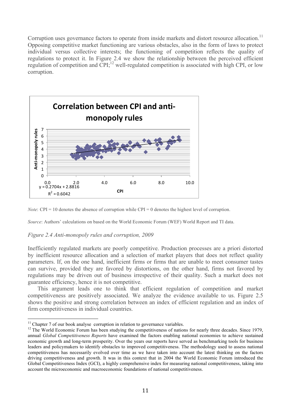Corruption uses governance factors to operate from inside markets and distort resource allocation.<sup>11</sup> Opposing competitive market functioning are various obstacles, also in the form of laws to protect individual versus collective interests; the functioning of competition reflects the quality of regulations to protect it. In Figure 2.4 we show the relationship between the perceived efficient regulation of competition and CPI;<sup>12</sup> well-regulated competition is associated with high CPI, or low corruption.



*Note*: CPI = 10 denotes the absence of corruption while CPI = 0 denotes the highest level of corruption.

*Source*: Authors' calculations on based on the World Economic Forum (WEF) World Report and TI data.

#### *Figure 2.4 Anti-monopoly rules and corruption, 2009*

Inefficiently regulated markets are poorly competitive. Production processes are a priori distorted by inefficient resource allocation and a selection of market players that does not reflect quality parameters. If, on the one hand, inefficient firms or firms that are unable to meet consumer tastes can survive, provided they are favored by distortions, on the other hand, firms not favored by regulations may be driven out of business irrespective of their quality. Such a market does not guarantee efficiency, hence it is not competitive.

This argument leads one to think that efficient regulation of competition and market competitiveness are positively associated. We analyze the evidence available to us. Figure 2.5 shows the positive and strong correlation between an index of efficient regulation and an index of firm competitiveness in individual countries.

<sup>&</sup>lt;sup>11</sup> Chapter 7 of our book analyse corruption in relation to governance variables.<br><sup>12</sup> The World Economic Forum has been studying the competitiveness of nations for nearly three decades. Since 1979, annual *Global Competitiveness Reports* have examined the factors enabling national economies to achieve sustained economic growth and long-term prosperity. Over the years our reports have served as benchmarking tools for business leaders and policymakers to identify obstacles to improved competitiveness. The methodology used to assess national competitiveness has necessarily evolved over time as we have taken into account the latest thinking on the factors driving competitiveness and growth. It was in this context that in 2004 the World Economic Forum introduced the Global Competitiveness Index (GCI), a highly comprehensive index for measuring national competitiveness, taking into account the microeconomic and macroeconomic foundations of national competitiveness.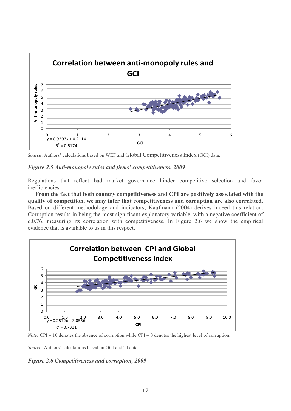

*Source*: Authors' calculations based on WEF and Global Competitiveness Index (GCI) data.

#### *Figure 2.5 Anti-monopoly rules and firms' competitiveness, 2009*

Regulations that reflect bad market governance hinder competitive selection and favor inefficiencies.

**From the fact that both country competitiveness and CPI are positively associated with the quality of competition, we may infer that competitiveness and corruption are also correlated.** Based on different methodology and indicators, Kaufmann (2004) derives indeed this relation. Corruption results in being the most significant explanatory variable, with a negative coefficient of *c*.0.76, measuring its correlation with competitiveness. In Figure 2.6 we show the empirical evidence that is available to us in this respect.





*Source*: Authors' calculations based on GCI and TI data.

#### *Figure 2.6 Competitiveness and corruption, 2009*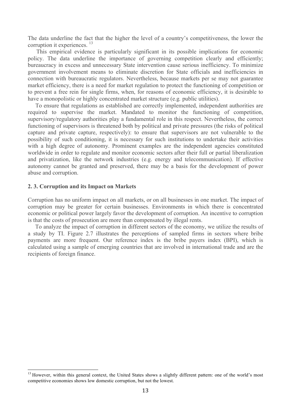The data underline the fact that the higher the level of a country's competitiveness, the lower the corruption it experiences. <sup>13</sup>

This empirical evidence is particularly significant in its possible implications for economic policy. The data underline the importance of governing competition clearly and efficiently; bureaucracy in excess and unnecessary State intervention cause serious inefficiency. To minimize government involvement means to eliminate discretion for State officials and inefficiencies in connection with bureaucratic regulators. Nevertheless, because markets per se may not guarantee market efficiency, there is a need for market regulation to protect the functioning of competition or to prevent a free rein for single firms, when, for reasons of economic efficiency, it is desirable to have a monopolistic or highly concentrated market structure (e.g*.* public utilities).

To ensure that regulations as established are correctly implemented, independent authorities are required to supervise the market. Mandated to monitor the functioning of competition, supervisory/regulatory authorities play a fundamental role in this respect. Nevertheless, the correct functioning of supervisors is threatened both by political and private pressures (the risks of political capture and private capture, respectively): to ensure that supervisors are not vulnerable to the possibility of such conditioning, it is necessary for such institutions to undertake their activities with a high degree of autonomy. Prominent examples are the independent agencies constituted worldwide in order to regulate and monitor economic sectors after their full or partial liberalization and privatization, like the network industries (e.g. energy and telecommunication). If effective autonomy cannot be granted and preserved, there may be a basis for the development of power abuse and corruption.

#### **2. 3. Corruption and its Impact on Markets**

Corruption has no uniform impact on all markets, or on all businesses in one market. The impact of corruption may be greater for certain businesses. Environments in which there is concentrated economic or political power largely favor the development of corruption. An incentive to corruption is that the costs of prosecution are more than compensated by illegal rents.

To analyze the impact of corruption in different sectors of the economy, we utilize the results of a study by TI. Figure 2.7 illustrates the perceptions of sampled firms in sectors where bribe payments are more frequent. Our reference index is the bribe payers index (BPI), which is calculated using a sample of emerging countries that are involved in international trade and are the recipients of foreign finance.

<sup>&</sup>lt;sup>13</sup> However, within this general context, the United States shows a slightly different pattern: one of the world's most competitive economies shows low domestic corruption, but not the lowest.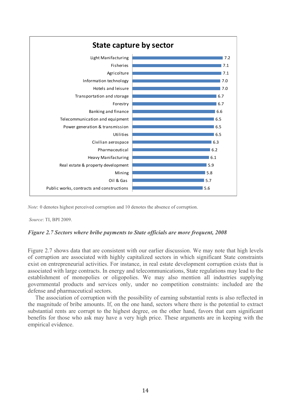

*Note*: 0 denotes highest perceived corruption and 10 denotes the absence of corruption.

*Source*: TI, BPI 2009.

#### *Figure 2.7 Sectors where bribe payments to State officials are more frequent, 2008*

Figure 2.7 shows data that are consistent with our earlier discussion. We may note that high levels of corruption are associated with highly capitalized sectors in which significant State constraints exist on entrepreneurial activities. For instance, in real estate development corruption exists that is associated with large contracts. In energy and telecommunications, State regulations may lead to the establishment of monopolies or oligopolies. We may also mention all industries supplying governmental products and services only, under no competition constraints: included are the defense and pharmaceutical sectors.

The association of corruption with the possibility of earning substantial rents is also reflected in the magnitude of bribe amounts. If, on the one hand, sectors where there is the potential to extract substantial rents are corrupt to the highest degree, on the other hand, favors that earn significant benefits for those who ask may have a very high price. These arguments are in keeping with the empirical evidence.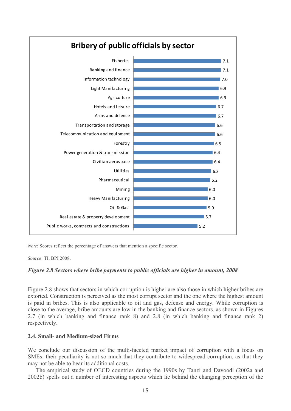

*Note:* Scores reflect the percentage of answers that mention a specific sector.

#### *Source*: TI, BPI 2008.

#### *Figure 2.8 Sectors where bribe payments to public officials are higher in amount, 2008*

Figure 2.8 shows that sectors in which corruption is higher are also those in which higher bribes are extorted. Construction is perceived as the most corrupt sector and the one where the highest amount is paid in bribes. This is also applicable to oil and gas, defense and energy. While corruption is close to the average, bribe amounts are low in the banking and finance sectors, as shown in Figures 2.7 (in which banking and finance rank 8) and 2.8 (in which banking and finance rank 2) respectively.

#### **2.4. Small- and Medium-sized Firms**

We conclude our discussion of the multi-faceted market impact of corruption with a focus on SMEs: their peculiarity is not so much that they contribute to widespread corruption, as that they may not be able to bear its additional costs.

The empirical study of OECD countries during the 1990s by Tanzi and Davoodi (2002a and 2002b) spells out a number of interesting aspects which lie behind the changing perception of the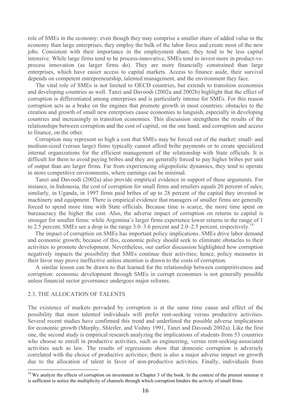role of SMEs in the economy: even though they may comprise a smaller share of added value in the economy than large enterprises, they employ the bulk of the labor force and create most of the new jobs. Consistent with their importance in the employment share, they tend to be less capital intensive. While large firms tend to be process-innovative, SMEs tend to invest more in product-vsprocess innovation (as larger firms do). They are more financially constrained than large enterprises, which have easier access to capital markets. Access to finance aside, their survival depends on competent entrepreneurship, talented management, and the environment they face.

The vital role of SMEs is not limited to OECD countries, but extends to transition economies and developing countries as well. Tanzi and Davoodi (2002a and 2002b) highlight that the effect of corruption is differentiated among enterprises and is particularly intense for SMEs. For this reason corruption acts as a brake on the engines that promote growth in most countries: obstacles to the creation and growth of small new enterprises cause economies to languish, especially in developing countries and increasingly in transition economies. This discussion strengthens the results of the relationships between corruption and the cost of capital, on the one hand, and corruption and access to finance, on the other.

Corruption may represent so high a cost that SMEs may be forced out of the market: small- and medium-sized (versus large) firms typically cannot afford bribe payments or to create specialized internal organizations for the efficient management of the relationship with State officials. It is difficult for them to avoid paying bribes and they are generally forced to pay higher bribes per unit of output than are larger firms. Far from experiencing oligopolistic dynamics, they tend to operate in more competitive environments, where earnings can be minimal.

Tanzi and Davoodi (2002a) also provide empirical evidence in support of these arguments. For instance, in Indonesia, the cost of corruption for small firms and retailers equals 20 percent of sales; similarly, in Uganda, in 1997 firms paid bribes of up to 28 percent of the capital they invested in machinery and equipment. There is empirical evidence that managers of smaller firms are generally forced to spend more time with State officials. Because time is scarce, the more time spent on bureaucracy the higher the cost. Also, the adverse impact of corruption on returns to capital is stronger for smaller firms: while Argentina's larger firms experience lower returns in the range of 1 to 2.5 percent, SMEs see a drop in the range  $3.0-3.6$  percent and  $2.0-2.5$  percent, respectively.<sup>14</sup>

The impact of corruption on SMEs has important policy implications. SMEs drive labor demand and economic growth; because of this, economic policy should seek to eliminate obstacles to their activities to promote development. Nevertheless, our earlier discussion highlighted how corruption negatively impacts the possibility that SMEs continue their activities; hence, policy measures in their favor may prove ineffective unless attention is drawn to the costs of corruption.

A similar lesson can be drawn to that learned for the relationship between competitiveness and corruption: economic development through SMEs in corrupt economies is not generally possible unless financial sector governance undergoes major reforms.

#### 2.3. THE ALLOCATION OF TALENTS

The existence of markets pervaded by corruption is at the same time cause and effect of the possibility that most talented individuals will prefer rent-seeking versus productive activities. Several recent studies have confirmed this trend and underlined the possible adverse implications for economic growth (Murphy, Shleifer, and Vishny 1991, Tanzi and Davoodi 2002a). Like the first one, the second study is empirical research analyzing the implications of students from 53 countries who choose to enroll in productive activities, such as engineering, versus rent-seeking-associated activities such as law. The results of regressions show that domestic corruption is adversely correlated with the choice of productive activities; there is also a major adverse impact on growth due to the allocation of talent in favor of non-productive activities. Finally, individuals from

<sup>&</sup>lt;sup>14</sup> We analyze the effects of corruption on investment in Chapter 3 of the book. In the context of the present seminar it is sufficient to notice the multiplicity of channels through which corruption hinders the activity of small firms.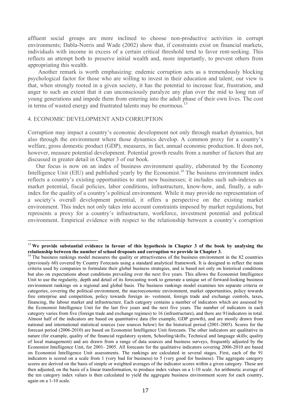affluent social groups are more inclined to choose non-productive activities in corrupt environments; Dabla-Norris and Wade (2002) show that, if constraints exist on financial markets, individuals with income in excess of a certain critical threshold tend to favor rent-seeking. This reflects an attempt both to preserve initial wealth and, more importantly, to prevent others from appropriating this wealth.

Another remark is worth emphasizing: endemic corruption acts as a tremendously blocking psychological factor for those who are willing to invest in their education and talent; our view is that, when strongly rooted in a given society, it has the potential to increase fear, frustration, and anger to such an extent that it can unconsciously paralyze any plan over the mid to long run of young generations and impede them from entering into the adult phase of their own lives. The cost in terms of wasted energy and frustrated talents may be enormous.<sup>15</sup>

#### 4. ECONOMIC DEVELOPMENT AND CORRUPTION

Corruption may impact a country's economic development not only through market dynamics, but also through the environment where those dynamics develop. A common proxy for a country's welfare, gross domestic product (GDP), measures, in fact, annual economic production. It does not, however, measure potential development. Potential growth results from a number of factors that are discussed in greater detail in Chapter 3 of our book.

Our focus is now on an index of business environment quality, elaborated by the Economy Intelligence Unit (EIU) and published yearly by the Economist.<sup>16</sup> The business environment index reflects a country's existing opportunities to start new businesses; it includes such sub-indexes as market potential, fiscal policies, labor conditions, infrastructure, know-how, and, finally, a subindex for the quality of a country's political environment. While it may provide no representation of a society's overall development potential, it offers a perspective on the existing market environment. This index not only takes into account constraints imposed by market regulations, but represents a proxy for a country's infrastructure, workforce, investment potential and political environment. Empirical evidence with respect to the relationship between a country's corruption

 <sup>15</sup> **We provide substantial evidence in favour of this hypothesis in Chapter 3 of the book by analysing the relationship between the number of school dropouts and corruption we provide in Chapter 3.**

<sup>&</sup>lt;sup>16</sup> The business rankings model measures the quality or attractiveness of the business environment in the 82 countries (previously 60) covered by Country Forecasts using a standard analytical framework. It is designed to reflect the main criteria used by companies to formulate their global business strategies, and is based not only on historical conditions but also on expectations about conditions prevailing over the next five years. This allows the Economist Intelligence Unit to use the regularity, depth and detail of its forecasting work to generate a unique set of forward-looking business environment rankings on a regional and global basis. The business rankings model examines ten separate criteria or categories, covering the political environment, the macroeconomic environment, market opportunities, policy towards free enterprise and competition, policy towards foreign in- vestment, foreign trade and exchange controls, taxes, financing, the labour market and infrastructure. Each category contains a number of indicators which are assessed by the Economist Intelligence Unit for the last five years and the next five years. The number of indicators in each category varies from five (foreign trade and exchange regimes) to 16 (infrastructure), and there are 91indicators in total. Almost half of the indicators are based on quantitative data (for example, GDP growth), and are mostly drawn from national and international statistical sources (see sources below) for the historical period (2001-2005). Scores for the forecast period (2006-2010) are based on Economist Intelligence Unit forecasts. The other indicators are qualitative in nature (for example, quality of the financial regulatory system, Schooling/skills; Technical and language skills; quality of local management) and are drawn from a range of data sources and business surveys, frequently adjusted by the Economist Intelligence Unit, for 2001- 2005. All forecasts for the qualitative indicators covering 2006-2010 are based on Economist Intelligence Unit assessments. The rankings are calculated in several stages. First, each of the 91 indicators is scored on a scale from 1 (very bad for business) to 5 (very good for business). The aggregate category scores are derived on the basis of simple or weighted averages of the indicator scores within a given category. These are then adjusted, on the basis of a linear transformation, to produce index values on a 1-10 scale. An arithmetic average of the ten category index values is then calculated to yield the aggregate business environment score for each country, again on a 1-10 scale.